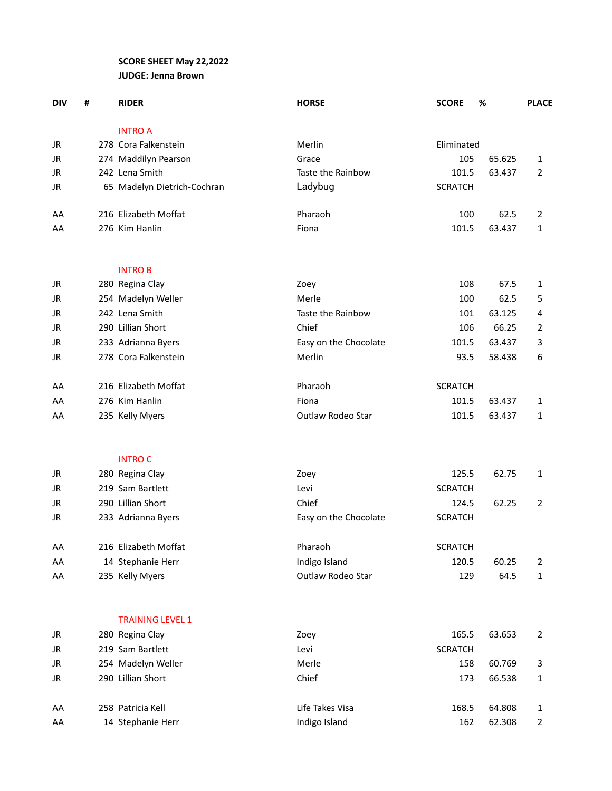## **SCORE SHEET May 22,2022 JUDGE: Jenna Brown**

| <b>DIV</b> | # | <b>RIDER</b>                | <b>HORSE</b>          | <b>SCORE</b>   | %      | <b>PLACE</b>   |
|------------|---|-----------------------------|-----------------------|----------------|--------|----------------|
|            |   | <b>INTRO A</b>              |                       |                |        |                |
| JR         |   | 278 Cora Falkenstein        | Merlin                | Eliminated     |        |                |
| JR         |   | 274 Maddilyn Pearson        | Grace                 | 105            | 65.625 | 1              |
| JR         |   | 242 Lena Smith              | Taste the Rainbow     | 101.5          | 63.437 | 2              |
| JR         |   | 65 Madelyn Dietrich-Cochran | Ladybug               | <b>SCRATCH</b> |        |                |
| AA         |   | 216 Elizabeth Moffat        | Pharaoh               | 100            | 62.5   | 2              |
| AA         |   | 276 Kim Hanlin              | Fiona                 | 101.5          | 63.437 | 1              |
|            |   | <b>INTROB</b>               |                       |                |        |                |
| JR         |   | 280 Regina Clay             | Zoey                  | 108            | 67.5   | 1              |
| JR         |   | 254 Madelyn Weller          | Merle                 | 100            | 62.5   | 5              |
| JR         |   | 242 Lena Smith              | Taste the Rainbow     | 101            | 63.125 | 4              |
| JR         |   | 290 Lillian Short           | Chief                 | 106            | 66.25  | 2              |
| JR         |   | 233 Adrianna Byers          | Easy on the Chocolate | 101.5          | 63.437 | 3              |
| JR         |   | 278 Cora Falkenstein        | Merlin                | 93.5           | 58.438 | 6              |
| AA         |   | 216 Elizabeth Moffat        | Pharaoh               | <b>SCRATCH</b> |        |                |
| AA         |   | 276 Kim Hanlin              | Fiona                 | 101.5          | 63.437 | 1              |
| AA         |   | 235 Kelly Myers             | Outlaw Rodeo Star     | 101.5          | 63.437 | 1              |
|            |   | <b>INTRO C</b>              |                       |                |        |                |
| JR         |   | 280 Regina Clay             | Zoey                  | 125.5          | 62.75  | 1              |
| <b>JR</b>  |   | 219 Sam Bartlett            | Levi                  | <b>SCRATCH</b> |        |                |
| JR         |   | 290 Lillian Short           | Chief                 | 124.5          | 62.25  | $\overline{2}$ |
| JR         |   | 233 Adrianna Byers          | Easy on the Chocolate | <b>SCRATCH</b> |        |                |
| AA         |   | 216 Elizabeth Moffat        | Pharaoh               | <b>SCRATCH</b> |        |                |
| AA         |   | 14 Stephanie Herr           | Indigo Island         | 120.5          | 60.25  | 2              |
| AA         |   | 235 Kelly Myers             | Outlaw Rodeo Star     | 129            | 64.5   | 1              |
|            |   | <b>TRAINING LEVEL 1</b>     |                       |                |        |                |
| JR         |   | 280 Regina Clay             | Zoey                  | 165.5          | 63.653 | $\overline{2}$ |
| JR         |   | 219 Sam Bartlett            | Levi                  | <b>SCRATCH</b> |        |                |
| JR         |   | 254 Madelyn Weller          | Merle                 | 158            | 60.769 | 3              |
| JR         |   | 290 Lillian Short           | Chief                 | 173            | 66.538 | 1              |
| AA         |   | 258 Patricia Kell           | Life Takes Visa       | 168.5          | 64.808 | 1              |

AA 14 Stephanie Herr 162 and 162 162.308 2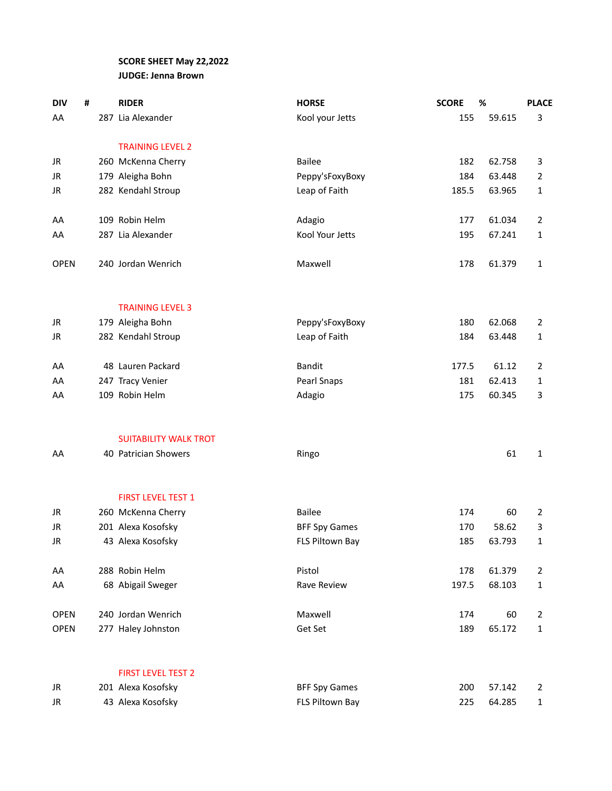## **SCORE SHEET May 22,2022 JUDGE: Jenna Brown**

| <b>DIV</b>  | # | <b>RIDER</b>                 | <b>HORSE</b>         | <b>SCORE</b> | %      | <b>PLACE</b>   |
|-------------|---|------------------------------|----------------------|--------------|--------|----------------|
| AA          |   | 287 Lia Alexander            | Kool your Jetts      | 155          | 59.615 | 3              |
|             |   |                              |                      |              |        |                |
|             |   | <b>TRAINING LEVEL 2</b>      |                      |              |        |                |
| JR          |   | 260 McKenna Cherry           | <b>Bailee</b>        | 182          | 62.758 | 3              |
| JR          |   | 179 Aleigha Bohn             | Peppy'sFoxyBoxy      | 184          | 63.448 | 2              |
| JR          |   | 282 Kendahl Stroup           | Leap of Faith        | 185.5        | 63.965 | 1              |
|             |   |                              |                      |              |        |                |
| AA          |   | 109 Robin Helm               | Adagio               | 177          | 61.034 | $\overline{2}$ |
| AA          |   | 287 Lia Alexander            | Kool Your Jetts      | 195          | 67.241 | 1              |
|             |   | 240 Jordan Wenrich           | Maxwell              | 178          | 61.379 |                |
| <b>OPEN</b> |   |                              |                      |              |        | 1              |
|             |   |                              |                      |              |        |                |
|             |   | <b>TRAINING LEVEL 3</b>      |                      |              |        |                |
| JR          |   | 179 Aleigha Bohn             | Peppy'sFoxyBoxy      | 180          | 62.068 | 2              |
| JR          |   | 282 Kendahl Stroup           | Leap of Faith        | 184          | 63.448 | 1              |
|             |   |                              |                      |              |        |                |
| AA          |   | 48 Lauren Packard            | <b>Bandit</b>        | 177.5        | 61.12  | 2              |
| AA          |   | 247 Tracy Venier             | Pearl Snaps          | 181          | 62.413 | 1              |
| AA          |   | 109 Robin Helm               | Adagio               | 175          | 60.345 | 3              |
|             |   |                              |                      |              |        |                |
|             |   |                              |                      |              |        |                |
|             |   | <b>SUITABILITY WALK TROT</b> |                      |              |        |                |
| AA          |   | 40 Patrician Showers         | Ringo                |              | 61     | $\mathbf{1}$   |
|             |   |                              |                      |              |        |                |
|             |   | <b>FIRST LEVEL TEST 1</b>    |                      |              |        |                |
| JR          |   | 260 McKenna Cherry           | <b>Bailee</b>        | 174          | 60     | 2              |
| JR          |   | 201 Alexa Kosofsky           | <b>BFF Spy Games</b> | 170          | 58.62  | 3              |
| JR          |   | 43 Alexa Kosofsky            | FLS Piltown Bay      | 185          | 63.793 | 1              |
|             |   |                              |                      |              |        |                |
| AA          |   | 288 Robin Helm               | Pistol               | 178          | 61.379 | $\overline{2}$ |
| AA          |   | 68 Abigail Sweger            | Rave Review          | 197.5        | 68.103 | 1              |
| <b>OPEN</b> |   | 240 Jordan Wenrich           | Maxwell              | 174          | 60     | $\overline{2}$ |
| <b>OPEN</b> |   | 277 Haley Johnston           | Get Set              | 189          | 65.172 | $\mathbf 1$    |
|             |   |                              |                      |              |        |                |
|             |   |                              |                      |              |        |                |
|             |   | <b>FIRST LEVEL TEST 2</b>    |                      |              |        |                |
| JR          |   | 201 Alexa Kosofsky           | <b>BFF Spy Games</b> | 200          | 57.142 | $\overline{2}$ |

JR 43 Alexa Kosofsky **FLS Piltown Bay PLS Piltown Bay** 225 64.285 1